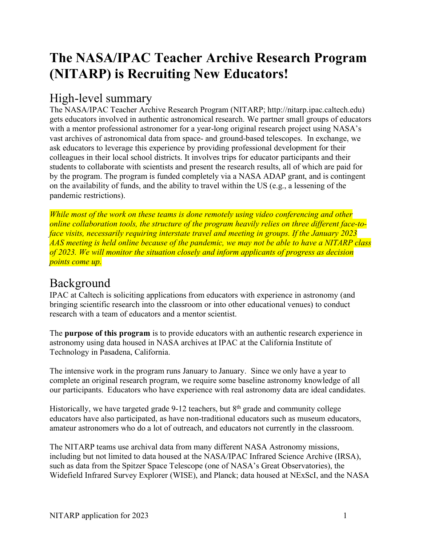# **The NASA/IPAC Teacher Archive Research Program (NITARP) is Recruiting New Educators!**

### High-level summary

The NASA/IPAC Teacher Archive Research Program (NITARP; http://nitarp.ipac.caltech.edu) gets educators involved in authentic astronomical research. We partner small groups of educators with a mentor professional astronomer for a year-long original research project using NASA's vast archives of astronomical data from space- and ground-based telescopes. In exchange, we ask educators to leverage this experience by providing professional development for their colleagues in their local school districts. It involves trips for educator participants and their students to collaborate with scientists and present the research results, all of which are paid for by the program. The program is funded completely via a NASA ADAP grant, and is contingent on the availability of funds, and the ability to travel within the US (e.g., a lessening of the pandemic restrictions).

*While most of the work on these teams is done remotely using video conferencing and other online collaboration tools, the structure of the program heavily relies on three different face-toface visits, necessarily requiring interstate travel and meeting in groups. If the January 2023 AAS meeting is held online because of the pandemic, we may not be able to have a NITARP class of 2023. We will monitor the situation closely and inform applicants of progress as decision points come up.*

### Background

IPAC at Caltech is soliciting applications from educators with experience in astronomy (and bringing scientific research into the classroom or into other educational venues) to conduct research with a team of educators and a mentor scientist.

The **purpose of this program** is to provide educators with an authentic research experience in astronomy using data housed in NASA archives at IPAC at the California Institute of Technology in Pasadena, California.

The intensive work in the program runs January to January. Since we only have a year to complete an original research program, we require some baseline astronomy knowledge of all our participants. Educators who have experience with real astronomy data are ideal candidates.

Historically, we have targeted grade 9-12 teachers, but 8<sup>th</sup> grade and community college educators have also participated, as have non-traditional educators such as museum educators, amateur astronomers who do a lot of outreach, and educators not currently in the classroom.

The NITARP teams use archival data from many different NASA Astronomy missions, including but not limited to data housed at the NASA/IPAC Infrared Science Archive (IRSA), such as data from the Spitzer Space Telescope (one of NASA's Great Observatories), the Widefield Infrared Survey Explorer (WISE), and Planck; data housed at NExScI, and the NASA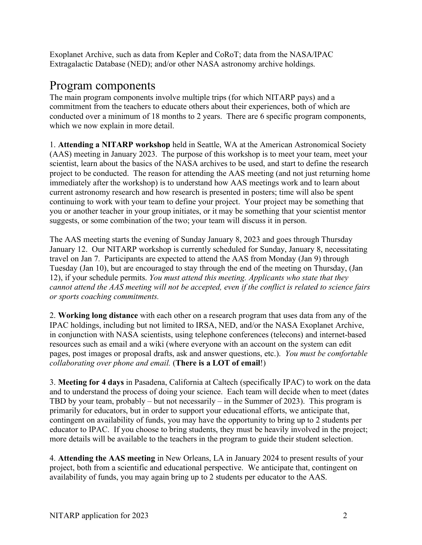Exoplanet Archive, such as data from Kepler and CoRoT; data from the NASA/IPAC Extragalactic Database (NED); and/or other NASA astronomy archive holdings.

### Program components

The main program components involve multiple trips (for which NITARP pays) and a commitment from the teachers to educate others about their experiences, both of which are conducted over a minimum of 18 months to 2 years. There are 6 specific program components, which we now explain in more detail.

1. **Attending a NITARP workshop** held in Seattle, WA at the American Astronomical Society (AAS) meeting in January 2023. The purpose of this workshop is to meet your team, meet your scientist, learn about the basics of the NASA archives to be used, and start to define the research project to be conducted. The reason for attending the AAS meeting (and not just returning home immediately after the workshop) is to understand how AAS meetings work and to learn about current astronomy research and how research is presented in posters; time will also be spent continuing to work with your team to define your project. Your project may be something that you or another teacher in your group initiates, or it may be something that your scientist mentor suggests, or some combination of the two; your team will discuss it in person.

The AAS meeting starts the evening of Sunday January 8, 2023 and goes through Thursday January 12. Our NITARP workshop is currently scheduled for Sunday, January 8, necessitating travel on Jan 7. Participants are expected to attend the AAS from Monday (Jan 9) through Tuesday (Jan 10), but are encouraged to stay through the end of the meeting on Thursday, (Jan 12), if your schedule permits. *You must attend this meeting. Applicants who state that they cannot attend the AAS meeting will not be accepted, even if the conflict is related to science fairs or sports coaching commitments.*

2. **Working long distance** with each other on a research program that uses data from any of the IPAC holdings, including but not limited to IRSA, NED, and/or the NASA Exoplanet Archive, in conjunction with NASA scientists, using telephone conferences (telecons) and internet-based resources such as email and a wiki (where everyone with an account on the system can edit pages, post images or proposal drafts, ask and answer questions, etc.). *You must be comfortable collaborating over phone and email.* (**There is a LOT of email**!)

3. **Meeting for 4 days** in Pasadena, California at Caltech (specifically IPAC) to work on the data and to understand the process of doing your science. Each team will decide when to meet (dates TBD by your team, probably – but not necessarily – in the Summer of 2023). This program is primarily for educators, but in order to support your educational efforts, we anticipate that, contingent on availability of funds, you may have the opportunity to bring up to 2 students per educator to IPAC. If you choose to bring students, they must be heavily involved in the project; more details will be available to the teachers in the program to guide their student selection.

4. **Attending the AAS meeting** in New Orleans, LA in January 2024 to present results of your project, both from a scientific and educational perspective. We anticipate that, contingent on availability of funds, you may again bring up to 2 students per educator to the AAS.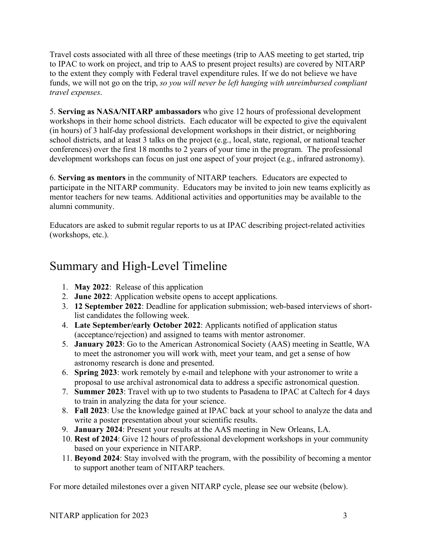Travel costs associated with all three of these meetings (trip to AAS meeting to get started, trip to IPAC to work on project, and trip to AAS to present project results) are covered by NITARP to the extent they comply with Federal travel expenditure rules. If we do not believe we have funds, we will not go on the trip, *so you will never be left hanging with unreimbursed compliant travel expenses*.

5. **Serving as NASA/NITARP ambassadors** who give 12 hours of professional development workshops in their home school districts. Each educator will be expected to give the equivalent (in hours) of 3 half-day professional development workshops in their district, or neighboring school districts, and at least 3 talks on the project (e.g., local, state, regional, or national teacher conferences) over the first 18 months to 2 years of your time in the program. The professional development workshops can focus on just one aspect of your project (e.g., infrared astronomy).

6. **Serving as mentors** in the community of NITARP teachers. Educators are expected to participate in the NITARP community. Educators may be invited to join new teams explicitly as mentor teachers for new teams. Additional activities and opportunities may be available to the alumni community.

Educators are asked to submit regular reports to us at IPAC describing project-related activities (workshops, etc.).

## Summary and High-Level Timeline

- 1. **May 2022**: Release of this application
- 2. **June 2022**: Application website opens to accept applications.
- 3. **12 September 2022**: Deadline for application submission; web-based interviews of shortlist candidates the following week.
- 4. **Late September/early October 2022**: Applicants notified of application status (acceptance/rejection) and assigned to teams with mentor astronomer.
- 5. **January 2023**: Go to the American Astronomical Society (AAS) meeting in Seattle, WA to meet the astronomer you will work with, meet your team, and get a sense of how astronomy research is done and presented.
- 6. **Spring 2023**: work remotely by e-mail and telephone with your astronomer to write a proposal to use archival astronomical data to address a specific astronomical question.
- 7. **Summer 2023**: Travel with up to two students to Pasadena to IPAC at Caltech for 4 days to train in analyzing the data for your science.
- 8. **Fall 2023**: Use the knowledge gained at IPAC back at your school to analyze the data and write a poster presentation about your scientific results.
- 9. **January 2024**: Present your results at the AAS meeting in New Orleans, LA.
- 10. **Rest of 2024**: Give 12 hours of professional development workshops in your community based on your experience in NITARP.
- 11. **Beyond 2024**: Stay involved with the program, with the possibility of becoming a mentor to support another team of NITARP teachers.

For more detailed milestones over a given NITARP cycle, please see our website (below).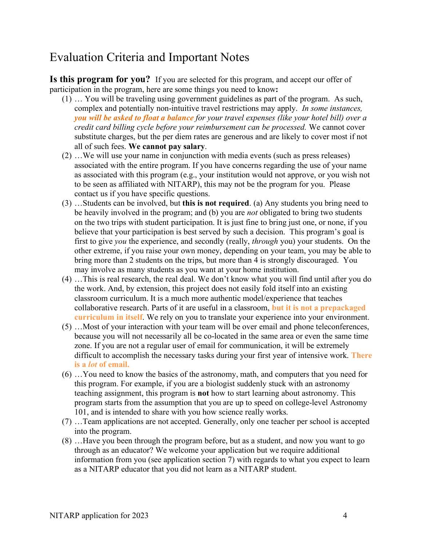## Evaluation Criteria and Important Notes

**Is this program for you?** If you are selected for this program, and accept our offer of participation in the program, here are some things you need to know**:**

- (1) … You will be traveling using government guidelines as part of the program. As such, complex and potentially non-intuitive travel restrictions may apply. *In some instances, you will be asked to float a balance for your travel expenses (like your hotel bill) over a credit card billing cycle before your reimbursement can be processed.* We cannot cover substitute charges, but the per diem rates are generous and are likely to cover most if not all of such fees. **We cannot pay salary**.
- (2) …We will use your name in conjunction with media events (such as press releases) associated with the entire program. If you have concerns regarding the use of your name as associated with this program (e.g., your institution would not approve, or you wish not to be seen as affiliated with NITARP), this may not be the program for you. Please contact us if you have specific questions.
- (3) …Students can be involved, but **this is not required**. (a) Any students you bring need to be heavily involved in the program; and (b) you are *not* obligated to bring two students on the two trips with student participation. It is just fine to bring just one, or none, if you believe that your participation is best served by such a decision. This program's goal is first to give *you* the experience, and secondly (really, *through* you) your students. On the other extreme, if you raise your own money, depending on your team, you may be able to bring more than 2 students on the trips, but more than 4 is strongly discouraged. You may involve as many students as you want at your home institution.
- (4) …This is real research, the real deal. We don't know what you will find until after you do the work. And, by extension, this project does not easily fold itself into an existing classroom curriculum. It is a much more authentic model/experience that teaches collaborative research. Parts of it are useful in a classroom, **but it is not a prepackaged curriculum in itself**. We rely on you to translate your experience into your environment.
- (5) …Most of your interaction with your team will be over email and phone teleconferences, because you will not necessarily all be co-located in the same area or even the same time zone. If you are not a regular user of email for communication, it will be extremely difficult to accomplish the necessary tasks during your first year of intensive work. **There is a** *lot* **of email.**
- (6) …You need to know the basics of the astronomy, math, and computers that you need for this program. For example, if you are a biologist suddenly stuck with an astronomy teaching assignment, this program is **not** how to start learning about astronomy. This program starts from the assumption that you are up to speed on college-level Astronomy 101, and is intended to share with you how science really works.
- (7) …Team applications are not accepted. Generally, only one teacher per school is accepted into the program.
- (8) …Have you been through the program before, but as a student, and now you want to go through as an educator? We welcome your application but we require additional information from you (see application section 7) with regards to what you expect to learn as a NITARP educator that you did not learn as a NITARP student.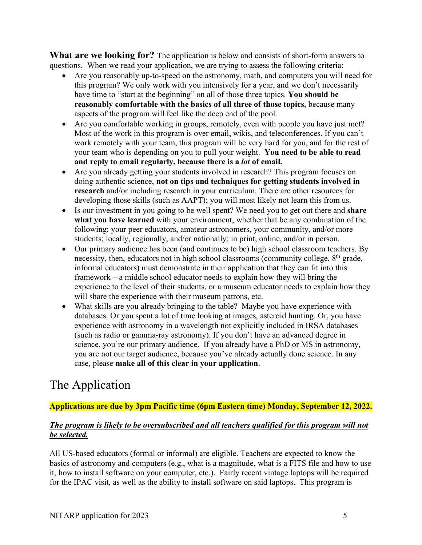**What are we looking for?** The application is below and consists of short-form answers to questions. When we read your application, we are trying to assess the following criteria:

- Are you reasonably up-to-speed on the astronomy, math, and computers you will need for this program? We only work with you intensively for a year, and we don't necessarily have time to "start at the beginning" on all of those three topics. **You should be reasonably comfortable with the basics of all three of those topics**, because many aspects of the program will feel like the deep end of the pool.
- Are you comfortable working in groups, remotely, even with people you have just met? Most of the work in this program is over email, wikis, and teleconferences. If you can't work remotely with your team, this program will be very hard for you, and for the rest of your team who is depending on you to pull your weight. **You need to be able to read and reply to email regularly, because there is a** *lot* **of email.**
- Are you already getting your students involved in research? This program focuses on doing authentic science, **not on tips and techniques for getting students involved in research** and/or including research in your curriculum. There are other resources for developing those skills (such as AAPT); you will most likely not learn this from us.
- Is our investment in you going to be well spent? We need you to get out there and **share what you have learned** with your environment, whether that be any combination of the following: your peer educators, amateur astronomers, your community, and/or more students; locally, regionally, and/or nationally; in print, online, and/or in person.
- Our primary audience has been (and continues to be) high school classroom teachers. By necessity, then, educators not in high school classrooms (community college, 8<sup>th</sup> grade, informal educators) must demonstrate in their application that they can fit into this framework – a middle school educator needs to explain how they will bring the experience to the level of their students, or a museum educator needs to explain how they will share the experience with their museum patrons, etc.
- What skills are you already bringing to the table? Maybe you have experience with databases. Or you spent a lot of time looking at images, asteroid hunting. Or, you have experience with astronomy in a wavelength not explicitly included in IRSA databases (such as radio or gamma-ray astronomy). If you don't have an advanced degree in science, you're our primary audience. If you already have a PhD or MS in astronomy, you are not our target audience, because you've already actually done science. In any case, please **make all of this clear in your application**.

# The Application

**Applications are due by 3pm Pacific time (6pm Eastern time) Monday, September 12, 2022.**

#### *The program is likely to be oversubscribed and all teachers qualified for this program will not be selected.*

All US-based educators (formal or informal) are eligible. Teachers are expected to know the basics of astronomy and computers (e.g., what is a magnitude, what is a FITS file and how to use it, how to install software on your computer, etc.). Fairly recent vintage laptops will be required for the IPAC visit, as well as the ability to install software on said laptops. This program is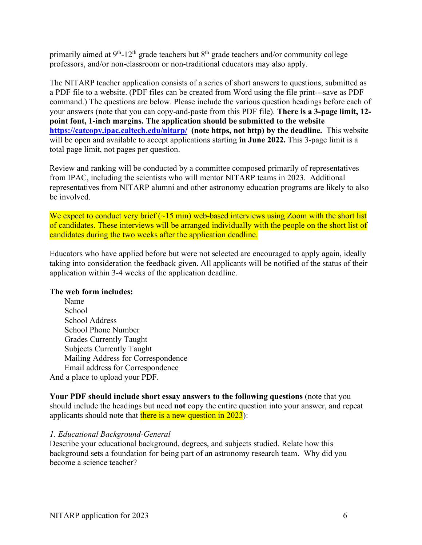primarily aimed at 9<sup>th</sup>-12<sup>th</sup> grade teachers but 8<sup>th</sup> grade teachers and/or community college professors, and/or non-classroom or non-traditional educators may also apply.

The NITARP teacher application consists of a series of short answers to questions, submitted as a PDF file to a website. (PDF files can be created from Word using the file print---save as PDF command.) The questions are below. Please include the various question headings before each of your answers (note that you can copy-and-paste from this PDF file). **There is a 3-page limit, 12 point font, 1-inch margins. The application should be submitted to the website https://catcopy.ipac.caltech.edu/nitarp/ (note https, not http) by the deadline.** This website will be open and available to accept applications starting **in June 2022.** This 3-page limit is a total page limit, not pages per question.

Review and ranking will be conducted by a committee composed primarily of representatives from IPAC, including the scientists who will mentor NITARP teams in 2023. Additional representatives from NITARP alumni and other astronomy education programs are likely to also be involved.

We expect to conduct very brief  $(-15 \text{ min})$  web-based interviews using Zoom with the short list of candidates. These interviews will be arranged individually with the people on the short list of candidates during the two weeks after the application deadline.

Educators who have applied before but were not selected are encouraged to apply again, ideally taking into consideration the feedback given. All applicants will be notified of the status of their application within 3-4 weeks of the application deadline.

#### **The web form includes:**

Name School School Address School Phone Number Grades Currently Taught Subjects Currently Taught Mailing Address for Correspondence Email address for Correspondence And a place to upload your PDF.

**Your PDF should include short essay answers to the following questions** (note that you should include the headings but need **not** copy the entire question into your answer, and repeat applicants should note that there is a new question in  $2023$ ):

#### *1. Educational Background-General*

Describe your educational background, degrees, and subjects studied. Relate how this background sets a foundation for being part of an astronomy research team. Why did you become a science teacher?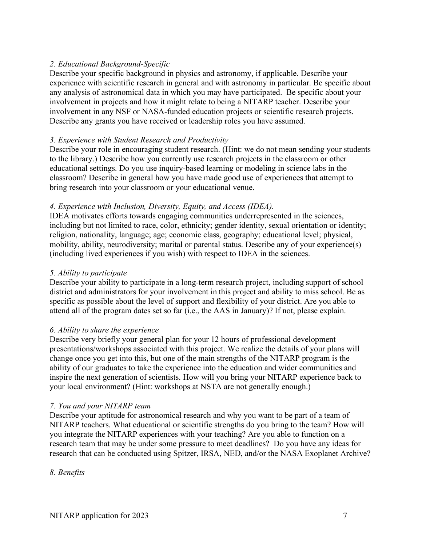#### *2. Educational Background-Specific*

Describe your specific background in physics and astronomy, if applicable. Describe your experience with scientific research in general and with astronomy in particular. Be specific about any analysis of astronomical data in which you may have participated. Be specific about your involvement in projects and how it might relate to being a NITARP teacher. Describe your involvement in any NSF or NASA-funded education projects or scientific research projects. Describe any grants you have received or leadership roles you have assumed.

#### *3. Experience with Student Research and Productivity*

Describe your role in encouraging student research. (Hint: we do not mean sending your students to the library.) Describe how you currently use research projects in the classroom or other educational settings. Do you use inquiry-based learning or modeling in science labs in the classroom? Describe in general how you have made good use of experiences that attempt to bring research into your classroom or your educational venue.

#### *4. Experience with Inclusion, Diversity, Equity, and Access (IDEA).*

IDEA motivates efforts towards engaging communities underrepresented in the sciences, including but not limited to race, color, ethnicity; gender identity, sexual orientation or identity; religion, nationality, language; age; economic class, geography; educational level; physical, mobility, ability, neurodiversity; marital or parental status. Describe any of your experience(s) (including lived experiences if you wish) with respect to IDEA in the sciences.

#### *5. Ability to participate*

Describe your ability to participate in a long-term research project, including support of school district and administrators for your involvement in this project and ability to miss school. Be as specific as possible about the level of support and flexibility of your district. Are you able to attend all of the program dates set so far (i.e., the AAS in January)? If not, please explain.

#### *6. Ability to share the experience*

Describe very briefly your general plan for your 12 hours of professional development presentations/workshops associated with this project. We realize the details of your plans will change once you get into this, but one of the main strengths of the NITARP program is the ability of our graduates to take the experience into the education and wider communities and inspire the next generation of scientists. How will you bring your NITARP experience back to your local environment? (Hint: workshops at NSTA are not generally enough.)

#### *7. You and your NITARP team*

Describe your aptitude for astronomical research and why you want to be part of a team of NITARP teachers. What educational or scientific strengths do you bring to the team? How will you integrate the NITARP experiences with your teaching? Are you able to function on a research team that may be under some pressure to meet deadlines? Do you have any ideas for research that can be conducted using Spitzer, IRSA, NED, and/or the NASA Exoplanet Archive?

*8. Benefits*